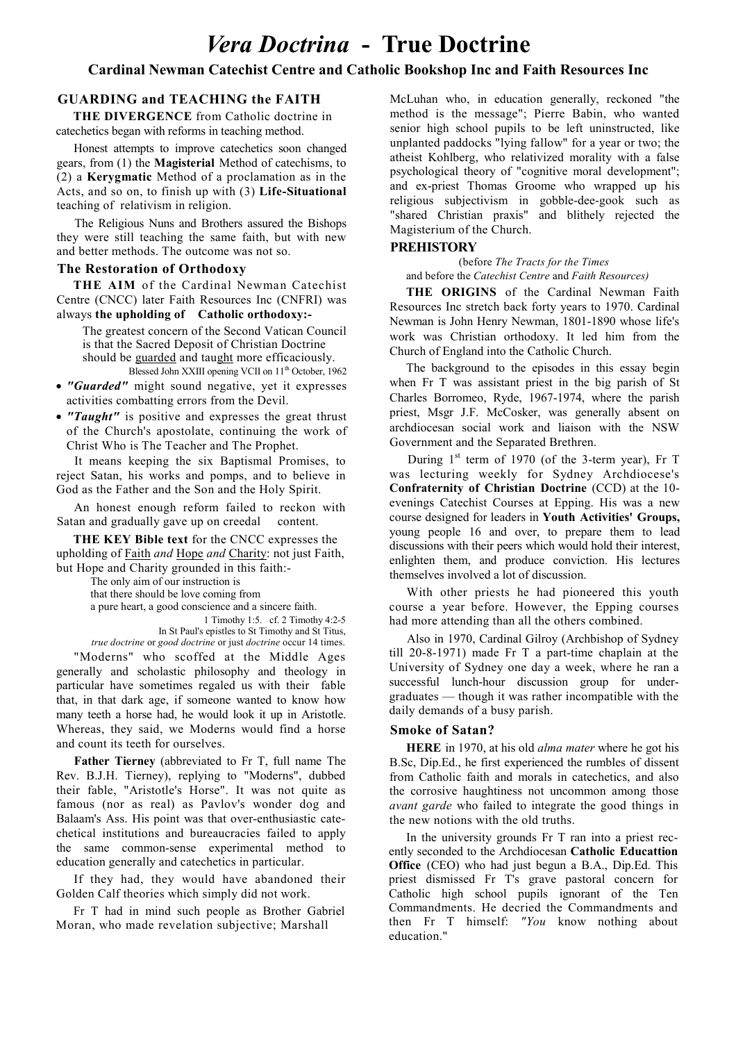# **Cardinal Newman Catechist Centre and Catholic Bookshop Inc and Faith Resources Inc**

# **GUARDING and TEACHING the FAITH**

THE DIVERGENCE from Catholic doctrine in catechetics began with reforms in teaching method.

Honest attempts to improve catechetics soon changed gears, from (1) the **Magisterial** Method of catechisms, to (2) a **Kervgmatic** Method of a proclamation as in the Acts, and so on, to finish up with (3) Life-Situational teaching of relativism in religion.

The Religious Nuns and Brothers assured the Bishops they were still teaching the same faith, but with new and better methods. The outcome was not so.

## **The Restoration of Orthodoxy**

THE AIM of the Cardinal Newman Catechist Centre (CNCC) later Faith Resources Inc (CNFRI) was always the upholding of Catholic orthodoxy:-

The greatest concern of the Second Vatican Council is that the Sacred Deposit of Christian Doctrine should be guarded and taught more efficaciously. Blessed John XXIII opening VCII on 11<sup>th</sup> October, 1962

- "Guarded" might sound negative, yet it expresses activities combatting errors from the Devil.
- "Taught" is positive and expresses the great thrust of the Church's apostolate, continuing the work of Christ Who is The Teacher and The Prophet.

It means keeping the six Baptismal Promises, to reject Satan, his works and pomps, and to believe in God as the Father and the Son and the Holy Spirit.

An honest enough reform failed to reckon with Satan and gradually gave up on creedal content.

THE KEY Bible text for the CNCC expresses the upholding of Faith and Hope and Charity: not just Faith, but Hope and Charity grounded in this faith:-

The only aim of our instruction is that there should be love coming from a pure heart, a good conscience and a sincere faith. 1 Timothy 1:5. cf. 2 Timothy 4:2-5 In St Paul's epistles to St Timothy and St Titus, true doctrine or good doctrine or just doctrine occur 14 times.

"Moderns" who scoffed at the Middle Ages generally and scholastic philosophy and theology in particular have sometimes regaled us with their fable that, in that dark age, if someone wanted to know how many teeth a horse had, he would look it up in Aristotle. Whereas, they said, we Moderns would find a horse and count its teeth for ourselves.

Father Tierney (abbreviated to Fr T, full name The Rev. B.J.H. Tierney), replying to "Moderns", dubbed their fable, "Aristotle's Horse". It was not quite as famous (nor as real) as Pavlov's wonder dog and Balaam's Ass. His point was that over-enthusiastic catechetical institutions and bureaucracies failed to apply the same common-sense experimental method to education generally and catechetics in particular.

If they had, they would have abandoned their Golden Calf theories which simply did not work.

Fr T had in mind such people as Brother Gabriel Moran, who made revelation subjective; Marshall

McLuhan who, in education generally, reckoned "the method is the message"; Pierre Babin, who wanted senior high school pupils to be left uninstructed, like unplanted paddocks "lying fallow" for a year or two; the atheist Kohlberg, who relativized morality with a false psychological theory of "cognitive moral development"; and ex-priest Thomas Groome who wrapped up his religious subjectivism in gobble-dee-gook such as<br>"shared Christian praxis" and blithely rejected the Magisterium of the Church.

#### **PREHISTORY**

(before The Tracts for the Times and before the Catechist Centre and Faith Resources)

THE ORIGINS of the Cardinal Newman Faith Resources Inc stretch back forty years to 1970. Cardinal Newman is John Henry Newman, 1801-1890 whose life's work was Christian orthodoxy. It led him from the Church of England into the Catholic Church.

The background to the episodes in this essay begin when Fr T was assistant priest in the big parish of St Charles Borromeo, Ryde, 1967-1974, where the parish priest, Msgr J.F. McCosker, was generally absent on archdiocesan social work and liaison with the NSW Government and the Separated Brethren.

During 1<sup>st</sup> term of 1970 (of the 3-term year), Fr T was lecturing weekly for Sydney Archdiocese's Confraternity of Christian Doctrine (CCD) at the 10evenings Catechist Courses at Epping. His was a new course designed for leaders in Youth Activities' Groups, young people 16 and over, to prepare them to lead discussions with their peers which would hold their interest, enlighten them, and produce conviction. His lectures themselves involved a lot of discussion.

With other priests he had pioneered this youth course a year before. However, the Epping courses had more attending than all the others combined.

Also in 1970, Cardinal Gilroy (Archbishop of Sydney till 20-8-1971) made Fr T a part-time chaplain at the University of Sydney one day a week, where he ran a successful lunch-hour discussion group for undergraduates — though it was rather incompatible with the daily demands of a busy parish.

### **Smoke of Satan?**

**HERE** in 1970, at his old *alma mater* where he got his B.Sc, Dip.Ed., he first experienced the rumbles of dissent from Catholic faith and morals in catechetics, and also the corrosive haughtiness not uncommon among those *avant garde* who failed to integrate the good things in the new notions with the old truths.

In the university grounds Fr T ran into a priest recently seconded to the Archdiocesan Catholic Educattion **Office** (CEO) who had just begun a B.A., Dip.Ed. This priest dismissed Fr T's grave pastoral concern for Catholic high school pupils ignorant of the Ten Commandments. He decried the Commandments and then Fr T himself: "You know nothing about education."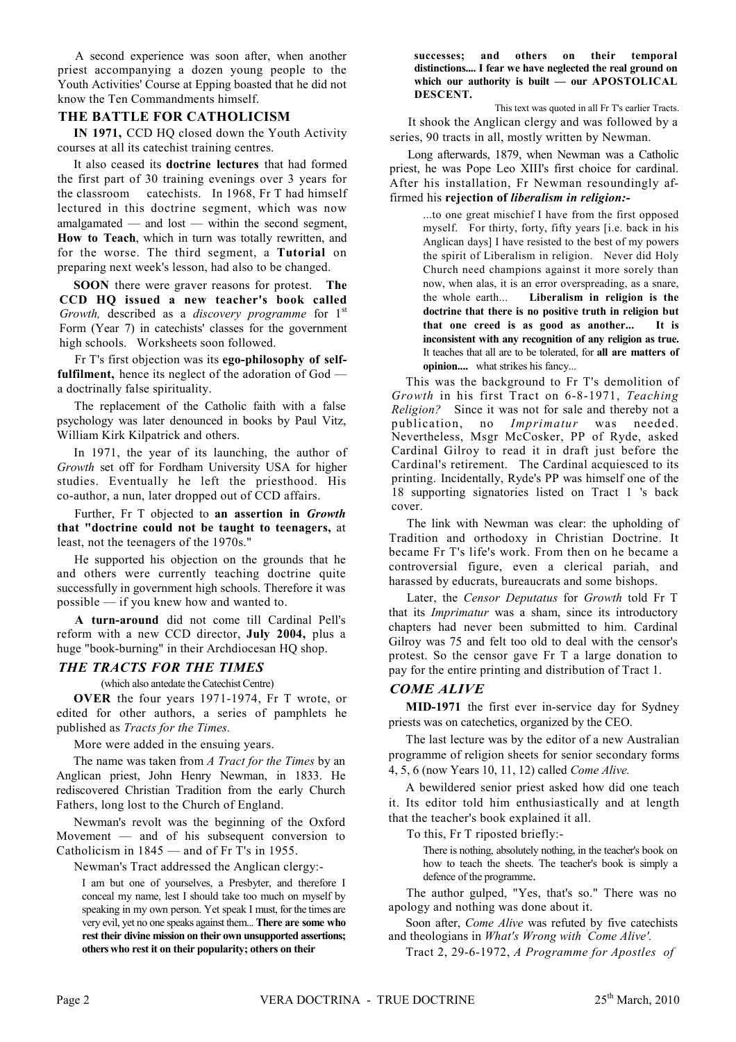A second experience was soon after, when another priest accompanying a dozen young people to the Youth Activities' Course at Epping boasted that he did not know the Ten Commandments himself.

### THE BATTLE FOR CATHOLICISM

IN 1971, CCD HQ closed down the Youth Activity courses at all its catechist training centres.

It also ceased its doctrine lectures that had formed the first part of 30 training evenings over 3 years for catechists. In 1968, Fr T had himself the classroom lectured in this doctrine segment, which was now amalgamated  $-$  and lost  $-$  within the second segment, How to Teach, which in turn was totally rewritten, and for the worse. The third segment, a **Tutorial** on preparing next week's lesson, had also to be changed.

SOON there were graver reasons for protest. The CCD HQ issued a new teacher's book called Growth, described as a discovery programme for 1<sup>st</sup> Form (Year 7) in catechists' classes for the government high schools. Worksheets soon followed.

Fr T's first objection was its ego-philosophy of self**fulfilment**, hence its neglect of the adoration of  $God$  a doctrinally false spirituality.

The replacement of the Catholic faith with a false psychology was later denounced in books by Paul Vitz, William Kirk Kilpatrick and others.

In 1971, the year of its launching, the author of Growth set off for Fordham University USA for higher studies. Eventually he left the priesthood. His co-author, a nun, later dropped out of CCD affairs.

Further, Fr T objected to an assertion in Growth that "doctrine could not be taught to teenagers, at least, not the teenagers of the 1970s."

He supported his objection on the grounds that he and others were currently teaching doctrine quite successfully in government high schools. Therefore it was possible - if you knew how and wanted to.

A turn-around did not come till Cardinal Pell's reform with a new CCD director, July 2004, plus a huge "book-burning" in their Archdiocesan HQ shop.

### **THE TRACTS FOR THE TIMES**

(which also antedate the Catechist Centre)

OVER the four years 1971-1974, Fr T wrote, or edited for other authors, a series of pamphlets he published as Tracts for the Times.

More were added in the ensuing years.

The name was taken from A Tract for the Times by an Anglican priest, John Henry Newman, in 1833. He rediscovered Christian Tradition from the early Church Fathers, long lost to the Church of England.

Newman's revolt was the beginning of the Oxford Movement — and of his subsequent conversion to Catholicism in 1845 — and of Fr T's in 1955.

Newman's Tract addressed the Anglican clergy:-

I am but one of yourselves, a Presbyter, and therefore I conceal my name, lest I should take too much on myself by speaking in my own person. Yet speak I must, for the times are very evil, yet no one speaks against them... There are some who rest their divine mission on their own unsupported assertions; others who rest it on their popularity; others on their

#### successes; and others on their temporal distinctions.... I fear we have neglected the real ground on which our authority is built - our APOSTOLICAL DESCENT.

This text was quoted in all Fr T's earlier Tracts. It shook the Anglican clergy and was followed by a series, 90 tracts in all, mostly written by Newman.

Long afterwards, 1879, when Newman was a Catholic priest, he was Pope Leo XIII's first choice for cardinal. After his installation, Fr Newman resoundingly affirmed his rejection of *liberalism in religion*:-

> ...to one great mischief I have from the first opposed myself. For thirty, forty, fifty years [i.e. back in his Anglican days] I have resisted to the best of my powers the spirit of Liberalism in religion. Never did Holy Church need champions against it more sorely than now, when alas, it is an error overspreading, as a snare, the whole earth... Liberalism in religion is the doctrine that there is no positive truth in religion but that one creed is as good as another... It is inconsistent with any recognition of any religion as true. It teaches that all are to be tolerated, for all are matters of opinion.... what strikes his fancy...

This was the background to Fr T's demolition of Growth in his first Tract on 6-8-1971, Teaching Religion? Since it was not for sale and thereby not a publication, no *Imprimatur* was needed. Nevertheless, Msgr McCosker, PP of Ryde, asked Cardinal Gilroy to read it in draft just before the Cardinal's retirement. The Cardinal acquiesced to its printing. Incidentally, Ryde's PP was himself one of the 18 supporting signatories listed on Tract 1 's back cover.

The link with Newman was clear: the upholding of Tradition and orthodoxy in Christian Doctrine. It became Fr T's life's work. From then on he became a controversial figure, even a clerical pariah, and harassed by educrats, bureaucrats and some bishops.

Later, the Censor Deputatus for Growth told Fr T that its *Imprimatur* was a sham, since its introductory chapters had never been submitted to him. Cardinal Gilroy was 75 and felt too old to deal with the censor's protest. So the censor gave Fr T a large donation to pay for the entire printing and distribution of Tract 1.

### **COME ALIVE**

MID-1971 the first ever in-service day for Sydney priests was on catechetics, organized by the CEO.

The last lecture was by the editor of a new Australian programme of religion sheets for senior secondary forms 4, 5, 6 (now Years 10, 11, 12) called *Come Alive*.

A bewildered senior priest asked how did one teach it. Its editor told him enthusiastically and at length that the teacher's book explained it all.

To this, Fr T riposted briefly:-

There is nothing, absolutely nothing, in the teacher's book on how to teach the sheets. The teacher's book is simply a defence of the programme.

The author gulped, "Yes, that's so." There was no apology and nothing was done about it.

Soon after, *Come Alive* was refuted by five catechists and theologians in What's Wrong with Come Alive'.

Tract 2, 29-6-1972, A Programme for Apostles of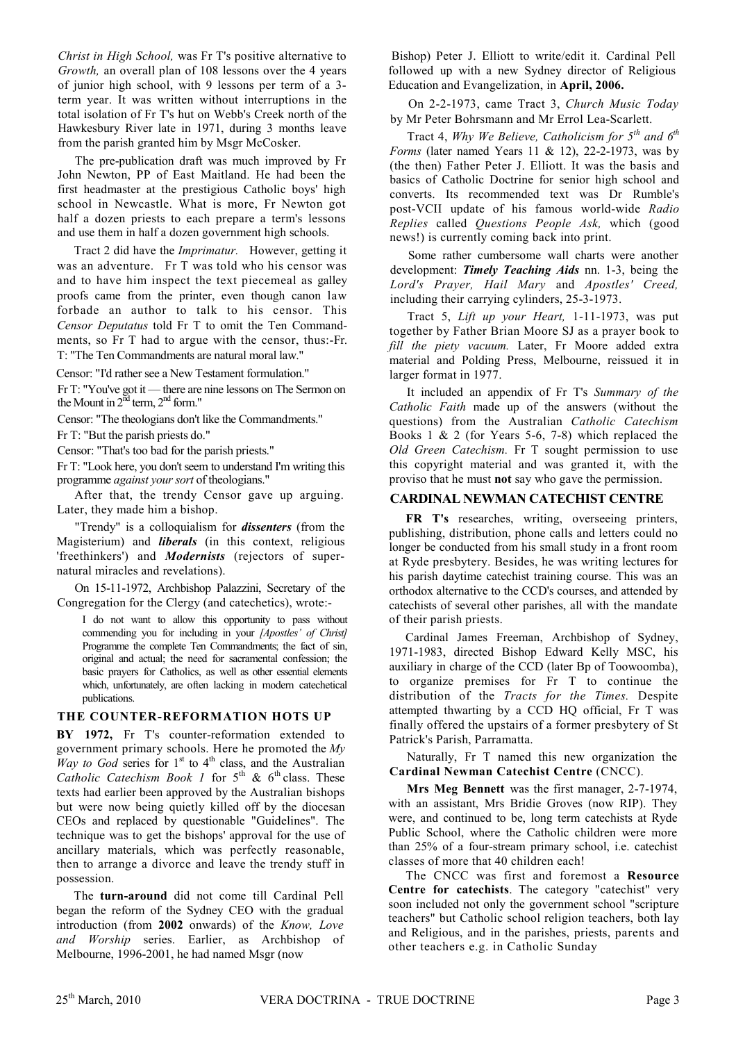Christ in High School, was Fr T's positive alternative to Growth, an overall plan of 108 lessons over the 4 years of junior high school, with 9 lessons per term of a 3term year. It was written without interruptions in the total isolation of Fr T's hut on Webb's Creek north of the Hawkesbury River late in 1971, during 3 months leave from the parish granted him by Msgr McCosker.

The pre-publication draft was much improved by Fr John Newton, PP of East Maitland. He had been the first headmaster at the prestigious Catholic boys' high school in Newcastle. What is more, Fr Newton got half a dozen priests to each prepare a term's lessons and use them in half a dozen government high schools.

Tract 2 did have the *Imprimatur*. However, getting it was an adventure. Fr T was told who his censor was and to have him inspect the text piecemeal as galley proofs came from the printer, even though canon law forbade an author to talk to his censor. This Censor Deputatus told Fr T to omit the Ten Commandments, so Fr T had to argue with the censor, thus:-Fr. T<sup>.</sup> "The Ten Commandments are natural moral law"

Censor: "I'd rather see a New Testament formulation."

Fr T: "You've got it — there are nine lessons on The Sermon on the Mount in  $2<sup>nd</sup>$  term,  $2<sup>nd</sup>$  form."

Censor: "The theologians don't like the Commandments."

Fr T: "But the parish priests do."

Censor: "That's too bad for the parish priests."

Fr T: "Look here, you don't seem to understand I'm writing this programme against your sort of theologians."

After that, the trendy Censor gave up arguing. Later, they made him a bishop.

"Trendy" is a colloquialism for *dissenters* (from the Magisterium) and *liberals* (in this context, religious 'freethinkers') and *Modernists* (rejectors of supernatural miracles and revelations).

On 15-11-1972, Archbishop Palazzini, Secretary of the Congregation for the Clergy (and catechetics), wrote:-

I do not want to allow this opportunity to pass without commending you for including in your [Apostles' of Christ] Programme the complete Ten Commandments; the fact of sin, original and actual; the need for sacramental confession; the basic prayers for Catholics, as well as other essential elements which, unfortunately, are often lacking in modern catechetical publications.

### THE COUNTER-REFORMATION HOTS UP

BY 1972, Fr T's counter-reformation extended to government primary schools. Here he promoted the  $My$ Way to God series for 1<sup>st</sup> to 4<sup>th</sup> class, and the Australian<br>Catholic Catechism Book 1 for 5<sup>th</sup> & 6<sup>th</sup> class. These texts had earlier been approved by the Australian bishops but were now being quietly killed off by the diocesan CEOs and replaced by questionable "Guidelines". The technique was to get the bishops' approval for the use of ancillary materials, which was perfectly reasonable, then to arrange a divorce and leave the trendy stuff in possession.

The turn-around did not come till Cardinal Pell began the reform of the Sydney CEO with the gradual introduction (from 2002 onwards) of the Know, Love and Worship series. Earlier, as Archbishop of Melbourne, 1996-2001, he had named Msgr (now

Bishop) Peter J. Elliott to write/edit it. Cardinal Pell followed up with a new Sydney director of Religious Education and Evangelization, in April, 2006.

On 2-2-1973, came Tract 3, Church Music Today by Mr Peter Bohrsmann and Mr Errol Lea-Scarlett.

Tract 4, Why We Believe, Catholicism for  $5<sup>th</sup>$  and  $6<sup>th</sup>$ Forms (later named Years 11 & 12), 22-2-1973, was by (the then) Father Peter J. Elliott. It was the basis and basics of Catholic Doctrine for senior high school and converts. Its recommended text was Dr Rumble's post-VCII update of his famous world-wide Radio Replies called Questions People Ask, which (good news!) is currently coming back into print.

Some rather cumbersome wall charts were another development: *Timely Teaching Aids* nn. 1-3, being the Lord's Prayer, Hail Mary and Apostles' Creed, including their carrying cylinders, 25-3-1973.

Tract 5, Lift up your Heart, 1-11-1973, was put together by Father Brian Moore SJ as a prayer book to fill the piety vacuum. Later, Fr Moore added extra material and Polding Press, Melbourne, reissued it in larger format in 1977.

It included an appendix of Fr T's Summary of the Catholic Faith made up of the answers (without the questions) from the Australian Catholic Catechism Books 1 & 2 (for Years 5-6, 7-8) which replaced the Old Green Catechism. Fr T sought permission to use this copyright material and was granted it, with the proviso that he must **not** say who gave the permission.

### **CARDINAL NEWMAN CATECHIST CENTRE**

FR T's researches, writing, overseeing printers, publishing, distribution, phone calls and letters could no longer be conducted from his small study in a front room at Ryde presbytery. Besides, he was writing lectures for his parish daytime catechist training course. This was an orthodox alternative to the CCD's courses, and attended by catechists of several other parishes, all with the mandate of their parish priests.

Cardinal James Freeman, Archbishop of Sydney, 1971-1983, directed Bishop Edward Kelly MSC, his auxiliary in charge of the CCD (later Bp of Toowoomba). to organize premises for Fr T to continue the distribution of the Tracts for the Times. Despite attempted thwarting by a CCD HQ official, Fr T was finally offered the upstairs of a former presbytery of St Patrick's Parish, Parramatta.

Naturally, Fr T named this new organization the Cardinal Newman Catechist Centre (CNCC).

Mrs Meg Bennett was the first manager, 2-7-1974, with an assistant, Mrs Bridie Groves (now RIP). They were, and continued to be, long term catechists at Ryde Public School, where the Catholic children were more than 25% of a four-stream primary school, i.e. catechist classes of more that 40 children each!

The CNCC was first and foremost a Resource Centre for catechists. The category "catechist" very soon included not only the government school "scripture teachers" but Catholic school religion teachers, both lay and Religious, and in the parishes, priests, parents and other teachers e.g. in Catholic Sunday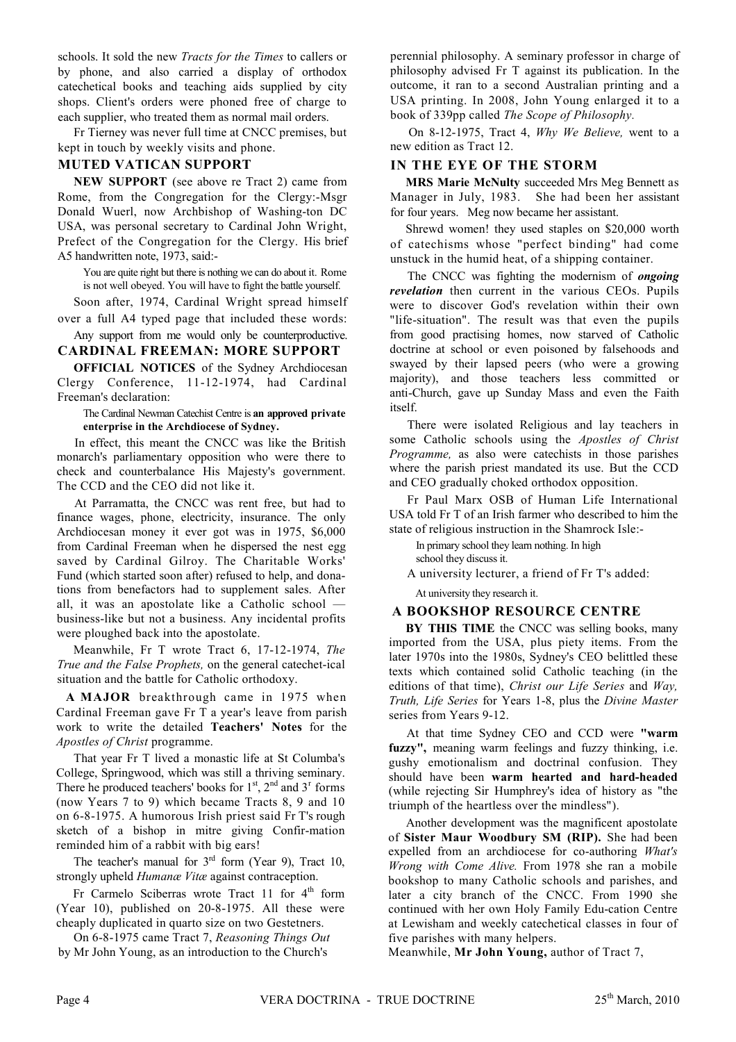schools. It sold the new Tracts for the Times to callers or by phone, and also carried a display of orthodox catechetical books and teaching aids supplied by city shops. Client's orders were phoned free of charge to each supplier, who treated them as normal mail orders.

Fr Tierney was never full time at CNCC premises, but kept in touch by weekly visits and phone.

## **MUTED VATICAN SUPPORT**

NEW SUPPORT (see above re Tract 2) came from Rome, from the Congregation for the Clergy:-Msgr Donald Wuerl, now Archbishop of Washing-ton DC USA, was personal secretary to Cardinal John Wright. Prefect of the Congregation for the Clergy. His brief A5 handwritten note, 1973, said:-

You are quite right but there is nothing we can do about it. Rome is not well obeyed. You will have to fight the battle yourself.

Soon after, 1974, Cardinal Wright spread himself over a full A4 typed page that included these words:

Any support from me would only be counterproductive. **CARDINAL FREEMAN: MORE SUPPORT** 

**OFFICIAL NOTICES** of the Sydney Archdiocesan Clergy Conference, 11-12-1974, had Cardinal Freeman's declaration:

The Cardinal Newman Catechist Centre is an approved private enterprise in the Archdiocese of Sydney.

In effect, this meant the CNCC was like the British monarch's parliamentary opposition who were there to check and counterbalance His Majesty's government. The CCD and the CEO did not like it.

At Parramatta, the CNCC was rent free, but had to finance wages, phone, electricity, insurance. The only Archdiocesan money it ever got was in 1975, \$6,000 from Cardinal Freeman when he dispersed the nest egg saved by Cardinal Gilroy. The Charitable Works' Fund (which started soon after) refused to help, and donations from benefactors had to supplement sales. After all, it was an apostolate like a Catholic school business-like but not a business. Any incidental profits were ploughed back into the apostolate.

Meanwhile, Fr T wrote Tract 6, 17-12-1974, The True and the False Prophets, on the general catechet-ical situation and the battle for Catholic orthodoxy.

A MAJOR breakthrough came in 1975 when Cardinal Freeman gave Fr T a year's leave from parish work to write the detailed Teachers' Notes for the Apostles of Christ programme.

That year Fr T lived a monastic life at St Columba's College, Springwood, which was still a thriving seminary. There he produced teachers' books for  $1<sup>st</sup>$ ,  $2<sup>nd</sup>$  and  $3<sup>r</sup>$  forms (now Years 7 to 9) which became Tracts 8, 9 and 10 on 6-8-1975. A humorous Irish priest said Fr T's rough sketch of a bishop in mitre giving Confir-mation reminded him of a rabbit with big ears!

The teacher's manual for  $3<sup>rd</sup>$  form (Year 9), Tract 10, strongly upheld Humanae Vitae against contraception.

Fr Carmelo Sciberras wrote Tract 11 for 4<sup>th</sup> form (Year 10), published on 20-8-1975. All these were cheaply duplicated in quarto size on two Gestetners.

On 6-8-1975 came Tract 7, Reasoning Things Out by Mr John Young, as an introduction to the Church's

perennial philosophy. A seminary professor in charge of philosophy advised Fr T against its publication. In the outcome, it ran to a second Australian printing and a USA printing. In 2008, John Young enlarged it to a book of 339pp called The Scope of Philosophy.

On 8-12-1975. Tract 4, Why We Believe, went to a new edition as Tract 12

# IN THE EYE OF THE STORM

MRS Marie McNulty succeeded Mrs Meg Bennett as Manager in July, 1983. She had been her assistant for four years. Meg now became her assistant.

Shrewd women! they used staples on \$20,000 worth of catechisms whose "perfect binding" had come unstuck in the humid heat, of a shipping container.

The CNCC was fighting the modernism of *ongoing* revelation then current in the various CEOs. Pupils were to discover God's revelation within their own "life-situation". The result was that even the pupils from good practising homes, now starved of Catholic doctrine at school or even poisoned by falsehoods and swayed by their lapsed peers (who were a growing majority), and those teachers less committed or anti-Church, gave up Sunday Mass and even the Faith itself.

There were isolated Religious and lay teachers in some Catholic schools using the Apostles of Christ *Programme*, as also were catechists in those parishes where the parish priest mandated its use. But the CCD and CEO gradually choked orthodox opposition.

Fr Paul Marx OSB of Human Life International USA told Fr T of an Irish farmer who described to him the state of religious instruction in the Shamrock Isle:-

In primary school they learn nothing. In high school they discuss it.

A university lecturer, a friend of Fr T's added:

At university they research it.

# A BOOKSHOP RESOURCE CENTRE

BY THIS TIME the CNCC was selling books, many imported from the USA, plus piety items. From the later 1970s into the 1980s, Sydney's CEO belittled these texts which contained solid Catholic teaching (in the editions of that time), Christ our Life Series and Way, Truth, Life Series for Years 1-8, plus the Divine Master series from Years 9-12.

At that time Sydney CEO and CCD were "warm fuzzy", meaning warm feelings and fuzzy thinking, i.e. gushy emotionalism and doctrinal confusion. They should have been warm hearted and hard-headed (while rejecting Sir Humphrey's idea of history as "the triumph of the heartless over the mindless").

Another development was the magnificent apostolate of Sister Maur Woodbury SM (RIP). She had been expelled from an archdiocese for co-authoring What's Wrong with Come Alive. From 1978 she ran a mobile bookshop to many Catholic schools and parishes, and later a city branch of the CNCC. From 1990 she continued with her own Holy Family Edu-cation Centre at Lewisham and weekly catechetical classes in four of five parishes with many helpers.

Meanwhile, Mr John Young, author of Tract 7,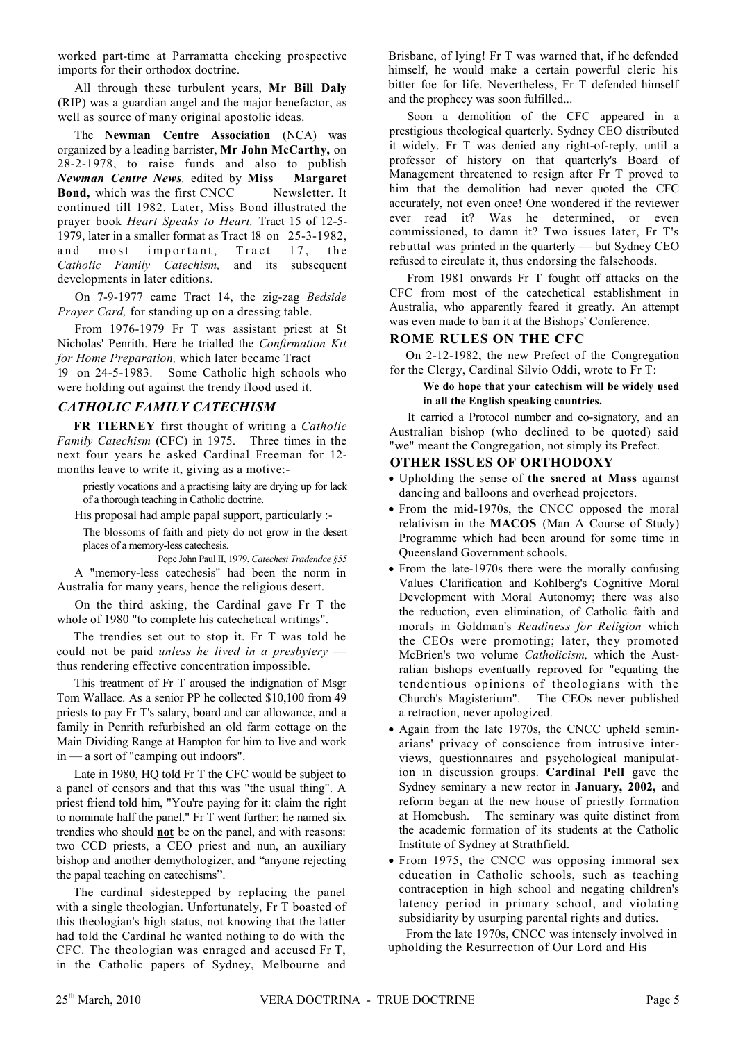worked part-time at Parramatta checking prospective imports for their orthodox doctrine.

All through these turbulent years, Mr Bill Daly (RIP) was a guardian angel and the major benefactor, as well as source of many original apostolic ideas.

The Newman Centre Association (NCA) was organized by a leading barrister, Mr John McCarthy, on 28-2-1978, to raise funds and also to publish Newman Centre News, edited by Miss Margaret Bond, which was the first CNCC Newsletter. It continued till 1982. Later, Miss Bond illustrated the prayer book Heart Speaks to Heart, Tract 15 of 12-5-1979, later in a smaller format as Tract 18 on 25-3-1982, and  $m$  o s t important, Tract  $17$ , the Catholic Family Catechism, and its subsequent developments in later editions.

On 7-9-1977 came Tract 14, the zig-zag Bedside *Prayer Card,* for standing up on a dressing table.

From 1976-1979 Fr T was assistant priest at St Nicholas' Penrith. Here he trialled the Confirmation Kit for Home Preparation, which later became Tract

19 on 24-5-1983. Some Catholic high schools who were holding out against the trendy flood used it.

## **CATHOLIC FAMILY CATECHISM**

FR TIERNEY first thought of writing a Catholic Family Catechism (CFC) in 1975. Three times in the next four years he asked Cardinal Freeman for 12months leave to write it, giving as a motive:-

priestly vocations and a practising laity are drying up for lack of a thorough teaching in Catholic doctrine.

His proposal had ample papal support, particularly :-

The blossoms of faith and piety do not grow in the desert places of a memory-less catechesis.

Pope John Paul II, 1979, Catechesi Tradendce §55 A "memory-less catechesis" had been the norm in Australia for many years, hence the religious desert.

On the third asking, the Cardinal gave Fr T the whole of 1980 "to complete his catechetical writings".

The trendies set out to stop it. Fr T was told he could not be paid unless he lived in a presbytery thus rendering effective concentration impossible.

This treatment of Fr T aroused the indignation of Msgr Tom Wallace. As a senior PP he collected \$10,100 from 49 priests to pay Fr T's salary, board and car allowance, and a family in Penrith refurbished an old farm cottage on the Main Dividing Range at Hampton for him to live and work  $in - a$  sort of "camping out indoors".

Late in 1980, HQ told Fr T the CFC would be subject to a panel of censors and that this was "the usual thing". A priest friend told him, "You're paying for it: claim the right to nominate half the panel." Fr T went further: he named six trendies who should **not** be on the panel, and with reasons: two CCD priests, a CEO priest and nun, an auxiliary bishop and another demythologizer, and "anyone rejecting" the papal teaching on catechisms".

The cardinal sidestepped by replacing the panel with a single theologian. Unfortunately, Fr T boasted of this theologian's high status, not knowing that the latter had told the Cardinal he wanted nothing to do with the CFC. The theologian was enraged and accused Fr T, in the Catholic papers of Sydney, Melbourne and

Brisbane, of lying! Fr T was warned that, if he defended himself, he would make a certain powerful cleric his bitter foe for life. Nevertheless, Fr T defended himself and the prophecy was soon fulfilled...

Soon a demolition of the CFC appeared in a prestigious theological quarterly. Sydney CEO distributed it widely. Fr T was denied any right-of-reply, until a professor of history on that quarterly's Board of Management threatened to resign after Fr T proved to him that the demolition had never quoted the CFC accurately, not even once! One wondered if the reviewer ever read it? Was he determined, or even commissioned, to damn it? Two issues later, Fr T's rebuttal was printed in the quarterly — but Sydney CEO refused to circulate it, thus endorsing the falsehoods.

From 1981 onwards Fr T fought off attacks on the CFC from most of the catechetical establishment in Australia, who apparently feared it greatly. An attempt was even made to ban it at the Bishops' Conference.

### **ROME RULES ON THE CFC**

On 2-12-1982, the new Prefect of the Congregation for the Clergy, Cardinal Silvio Oddi, wrote to Fr T:

### We do hope that your catechism will be widely used in all the English speaking countries.

It carried a Protocol number and co-signatory, and an Australian bishop (who declined to be quoted) said "we" meant the Congregation, not simply its Prefect.

### **OTHER ISSUES OF ORTHODOXY**

- Upholding the sense of the sacred at Mass against dancing and balloons and overhead projectors.
- From the mid-1970s, the CNCC opposed the moral relativism in the MACOS (Man A Course of Study) Programme which had been around for some time in Queensland Government schools.
- From the late-1970s there were the morally confusing Values Clarification and Kohlberg's Cognitive Moral Development with Moral Autonomy; there was also the reduction, even elimination, of Catholic faith and morals in Goldman's Readiness for Religion which the CEOs were promoting; later, they promoted McBrien's two volume Catholicism, which the Australian bishops eventually reproved for "equating the tendentious opinions of theologians with the Church's Magisterium". The CEOs never published a retraction, never apologized.
- Again from the late 1970s, the CNCC upheld seminarians' privacy of conscience from intrusive interviews, questionnaires and psychological manipulation in discussion groups. Cardinal Pell gave the Sydney seminary a new rector in **January**, 2002, and reform began at the new house of priestly formation at Homebush. The seminary was quite distinct from the academic formation of its students at the Catholic Institute of Sydney at Strathfield.
- From 1975, the CNCC was opposing immoral sex education in Catholic schools, such as teaching contraception in high school and negating children's latency period in primary school, and violating subsidiarity by usurping parental rights and duties.

From the late 1970s, CNCC was intensely involved in upholding the Resurrection of Our Lord and His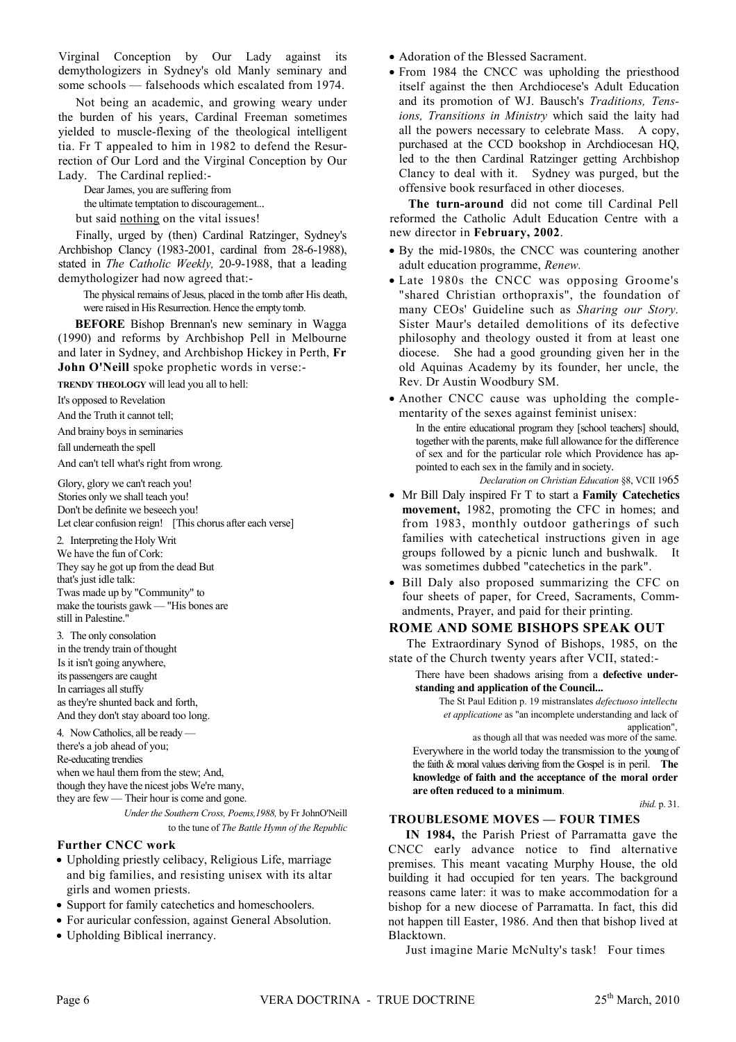Virginal Conception by Our Lady against its demythologizers in Sydney's old Manly seminary and some schools — falsehoods which escalated from 1974.

Not being an academic, and growing weary under the burden of his years, Cardinal Freeman sometimes yielded to muscle-flexing of the theological intelligent tia. Fr T appealed to him in 1982 to defend the Resurrection of Our Lord and the Virginal Conception by Our Lady. The Cardinal replied:-

Dear James, you are suffering from

the ultimate temptation to discouragement...

but said nothing on the vital issues!

Finally, urged by (then) Cardinal Ratzinger, Sydney's Archbishop Clancy (1983-2001, cardinal from 28-6-1988), stated in The Catholic Weekly, 20-9-1988, that a leading demythologizer had now agreed that:-

The physical remains of Jesus, placed in the tomb after His death, were raised in His Resurrection. Hence the empty tomb.

**BEFORE** Bishop Brennan's new seminary in Wagga (1990) and reforms by Archbishop Pell in Melbourne and later in Sydney, and Archbishop Hickey in Perth, Fr **John O'Neill** spoke prophetic words in verse:-

TRENDY THEOLOGY will lead you all to hell:

It's opposed to Revelation

And the Truth it cannot tell:

And brainy boys in seminaries

fall underneath the spell

And can't tell what's right from wrong.

Glory, glory we can't reach you! Stories only we shall teach you! Don't be definite we beseech you! Let clear confusion reign! [This chorus after each verse]

2. Interpreting the Holy Writ We have the fun of Cork: They say he got up from the dead But that's just idle talk: Twas made up by "Community" to make the tourists gawk - "His bones are still in Palestine.'

3. The only consolation in the trendy train of thought Is it isn't going anywhere, its passengers are caught In carriages all stuffy as they're shunted back and forth. And they don't stay aboard too long.

4. Now Catholics, all be ready there's a job ahead of you; Re-educating trendies when we haul them from the stew: And. though they have the nicest jobs We're many, they are few — Their hour is come and gone. Under the Southern Cross. Poems. 1988, by Fr JohnO'Neill

to the tune of The Battle Hymn of the Republic

### **Further CNCC work**

- Upholding priestly celibacy, Religious Life, marriage and big families, and resisting unisex with its altar girls and women priests.
- Support for family catechetics and homeschoolers.
- For auricular confession, against General Absolution.
- Upholding Biblical inerrancy.
- Adoration of the Blessed Sacrament.
- From 1984 the CNCC was upholding the priesthood itself against the then Archdiocese's Adult Education and its promotion of WJ. Bausch's Traditions, Tensions, Transitions in Ministry which said the laity had all the powers necessary to celebrate Mass. A copy, purchased at the CCD bookshop in Archdiocesan HQ, led to the then Cardinal Ratzinger getting Archbishop Clancy to deal with it. Sydney was purged, but the offensive book resurfaced in other dioceses

The turn-around did not come till Cardinal Pell reformed the Catholic Adult Education Centre with a new director in February, 2002.

- By the mid-1980s, the CNCC was countering another adult education programme, Renew.
- Late 1980s the CNCC was opposing Groome's "shared Christian orthopraxis", the foundation of many CEOs' Guideline such as Sharing our Story. Sister Maur's detailed demolitions of its defective philosophy and theology ousted it from at least one diocese. She had a good grounding given her in the old Aquinas Academy by its founder, her uncle, the Rev. Dr Austin Woodbury SM.
- Another CNCC cause was upholding the complementarity of the sexes against feminist unisex:

In the entire educational program they [school teachers] should, together with the parents, make full allowance for the difference of sex and for the particular role which Providence has appointed to each sex in the family and in society.

Declaration on Christian Education §8, VCII 1965

- Mr Bill Daly inspired Fr T to start a Family Catechetics movement, 1982, promoting the CFC in homes; and from 1983, monthly outdoor gatherings of such families with catechetical instructions given in age groups followed by a picnic lunch and bushwalk. It was sometimes dubbed "catechetics in the park".
- Bill Daly also proposed summarizing the CFC on four sheets of paper, for Creed, Sacraments, Commandments, Prayer, and paid for their printing.

### ROME AND SOME BISHOPS SPEAK OUT

The Extraordinary Synod of Bishops, 1985, on the state of the Church twenty years after VCII, stated:-

There have been shadows arising from a defective understanding and application of the Council...

The St Paul Edition p. 19 mistranslates *defectuoso intellectu* et applicatione as "an incomplete understanding and lack of application"

as though all that was needed was more of the same. Everywhere in the world today the transmission to the young of the faith  $\&$  moral values deriving from the Gospel is in peril. The knowledge of faith and the acceptance of the moral order are often reduced to a minimum.

*ibid.* p. 31.

## **TROUBLESOME MOVES - FOUR TIMES**

IN 1984, the Parish Priest of Parramatta gave the CNCC early advance notice to find alternative premises. This meant vacating Murphy House, the old building it had occupied for ten years. The background reasons came later: it was to make accommodation for a bishop for a new diocese of Parramatta. In fact, this did not happen till Easter, 1986. And then that bishop lived at Blacktown.

Just imagine Marie McNulty's task! Four times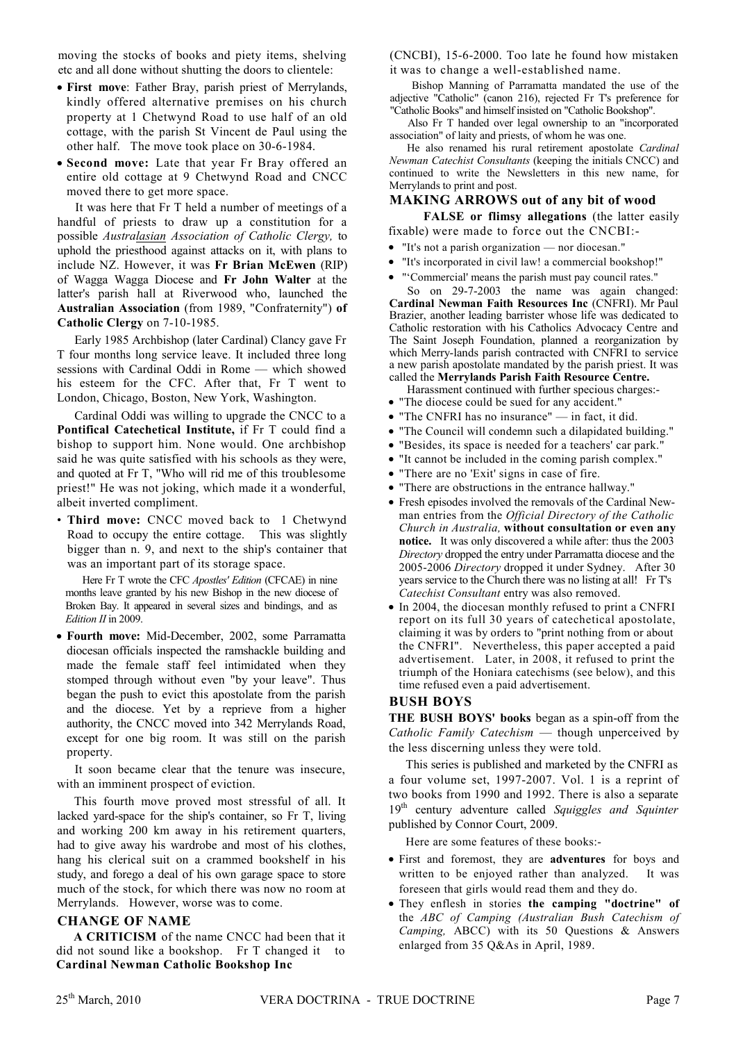moving the stocks of books and piety items, shelving etc and all done without shutting the doors to clientele:

- First move: Father Bray, parish priest of Merrylands, kindly offered alternative premises on his church property at 1 Chetwynd Road to use half of an old cottage, with the parish St Vincent de Paul using the other half. The move took place on 30-6-1984.
- Second move: Late that year Fr Bray offered an entire old cottage at 9 Chetwynd Road and CNCC moved there to get more space.

It was here that Fr T held a number of meetings of a handful of priests to draw up a constitution for a possible Australasian Association of Catholic Clergy, to uphold the priesthood against attacks on it, with plans to include NZ. However, it was Fr Brian McEwen (RIP) of Wagga Wagga Diocese and Fr John Walter at the latter's parish hall at Riverwood who, launched the Australian Association (from 1989, "Confraternity") of Catholic Clergy on 7-10-1985.

Early 1985 Archbishop (later Cardinal) Clancy gave Fr T four months long service leave. It included three long sessions with Cardinal Oddi in Rome - which showed his esteem for the CFC. After that, Fr T went to London, Chicago, Boston, New York, Washington.

Cardinal Oddi was willing to upgrade the CNCC to a Pontifical Catechetical Institute, if Fr T could find a bishop to support him. None would. One archbishop said he was quite satisfied with his schools as they were, and quoted at Fr T, "Who will rid me of this troublesome priest!" He was not joking, which made it a wonderful, albeit inverted compliment.

• Third move: CNCC moved back to 1 Chetwynd Road to occupy the entire cottage. This was slightly bigger than n. 9, and next to the ship's container that was an important part of its storage space.

Here Fr T wrote the CFC *Apostles' Edition* (CFCAE) in nine months leave granted by his new Bishop in the new diocese of Broken Bay. It appeared in several sizes and bindings, and as Edition II in 2009.

· Fourth move: Mid-December, 2002, some Parramatta diocesan officials inspected the ramshackle building and made the female staff feel intimidated when they stomped through without even "by your leave". Thus began the push to evict this apostolate from the parish and the diocese. Yet by a reprieve from a higher authority, the CNCC moved into 342 Merrylands Road, except for one big room. It was still on the parish property.

It soon became clear that the tenure was insecure, with an imminent prospect of eviction.

This fourth move proved most stressful of all. It lacked yard-space for the ship's container, so Fr T, living and working 200 km away in his retirement quarters, had to give away his wardrobe and most of his clothes, hang his clerical suit on a crammed bookshelf in his study, and forego a deal of his own garage space to store much of the stock, for which there was now no room at Merrylands. However, worse was to come.

### **CHANGE OF NAME**

A CRITICISM of the name CNCC had been that it did not sound like a bookshop. Fr T changed it to **Cardinal Newman Catholic Bookshop Inc** 

(CNCBI), 15-6-2000. Too late he found how mistaken it was to change a well-established name.

Bishop Manning of Parramatta mandated the use of the adjective "Catholic" (canon 216), rejected Fr T's preference for "Catholic Books" and himself insisted on "Catholic Bookshop".

Also Fr T handed over legal ownership to an "incorporated association" of laity and priests, of whom he was one.

He also renamed his rural retirement apostolate Cardinal Newman Catechist Consultants (keeping the initials CNCC) and continued to write the Newsletters in this new name, for Merrylands to print and post.

#### **MAKING ARROWS out of any bit of wood**

FALSE or flimsy allegations (the latter easily fixable) were made to force out the CNCBI:-

- "It's not a parish organization nor diocesan."
- "It's incorporated in civil law! a commercial bookshop!"
- "Commercial' means the parish must pay council rates."

So on 29-7-2003 the name was again changed: Cardinal Newman Faith Resources Inc (CNFRI). Mr Paul Brazier, another leading barrister whose life was dedicated to Catholic restoration with his Catholics Advocacy Centre and The Saint Joseph Foundation, planned a reorganization by which Merry-lands parish contracted with CNFRI to service a new parish apostolate mandated by the parish priest. It was called the Merrylands Parish Faith Resource Centre.

- Harassment continued with further specious charges:-
- "The diocese could be sued for any accident."
- "The CNFRI has no insurance" in fact, it did.
- "The Council will condemn such a dilapidated building."
- · "Besides, its space is needed for a teachers' car park."
- "It cannot be included in the coming parish complex."
- "There are no 'Exit' signs in case of fire.
- "There are obstructions in the entrance hallway."
- Fresh episodes involved the removals of the Cardinal Newman entries from the Official Directory of the Catholic Church in Australia, without consultation or even any notice. It was only discovered a while after: thus the 2003 Directory dropped the entry under Parramatta diocese and the 2005-2006 Directory dropped it under Sydney. After 30 years service to the Church there was no listing at all! Fr T's Catechist Consultant entry was also removed.
- In 2004, the diocesan monthly refused to print a CNFRI report on its full 30 years of catechetical apostolate, claiming it was by orders to "print nothing from or about the CNFRI". Nevertheless, this paper accepted a paid advertisement. Later, in 2008, it refused to print the triumph of the Honiara catechisms (see below), and this time refused even a paid advertisement.

#### **BUSH BOYS**

THE BUSH BOYS' books began as a spin-off from the Catholic Family Catechism — though unperceived by the less discerning unless they were told.

This series is published and marketed by the CNFRI as a four volume set, 1997-2007. Vol. 1 is a reprint of two books from 1990 and 1992. There is also a separate 19th century adventure called Squiggles and Squinter published by Connor Court, 2009.

Here are some features of these books:-

- · First and foremost, they are adventures for boys and written to be enjoyed rather than analyzed. It was foreseen that girls would read them and they do.
- They enflesh in stories the camping "doctrine" of the ABC of Camping (Australian Bush Catechism of Camping, ABCC) with its 50 Questions & Answers enlarged from 35 Q&As in April, 1989.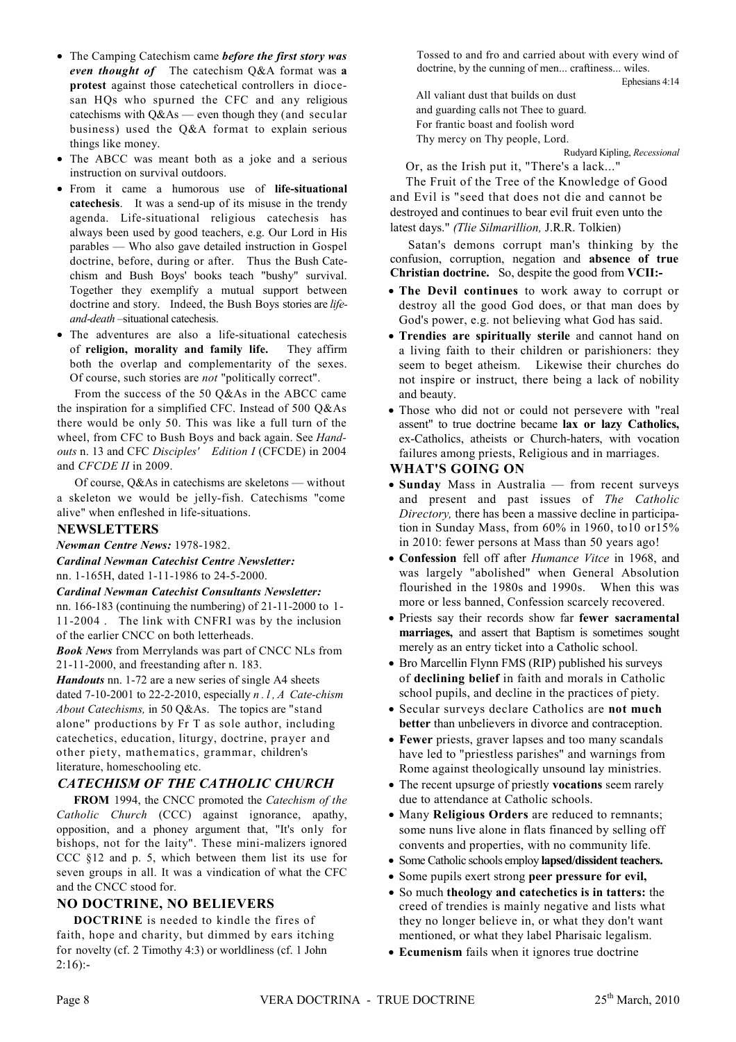- The Camping Catechism came before the first story was even thought of The catechism Q&A format was a protest against those catechetical controllers in diocesan HQs who spurned the CFC and any religious catechisms with  $Q\&As$  — even though they (and secular business) used the Q&A format to explain serious things like money.
- The ABCC was meant both as a joke and a serious instruction on survival outdoors.
- From it came a humorous use of life-situational catechesis. It was a send-up of its misuse in the trendy agenda. Life-situational religious catechesis has always been used by good teachers, e.g. Our Lord in His parables — Who also gave detailed instruction in Gospel doctrine, before, during or after. Thus the Bush Catechism and Bush Boys' books teach "bushy" survival. Together they exemplify a mutual support between doctrine and story. Indeed, the Bush Boys stories are lifeand-death -situational catechesis.
- The adventures are also a life-situational catechesis of religion, morality and family life. They affirm both the overlap and complementarity of the sexes. Of course, such stories are *not* "politically correct".

From the success of the 50 Q&As in the ABCC came the inspiration for a simplified CFC. Instead of 500 Q&As there would be only 50. This was like a full turn of the wheel, from CFC to Bush Boys and back again. See Handouts n. 13 and CFC Disciples' Edition I (CFCDE) in 2004 and CFCDE II in 2009.

Of course. O & As in cate chisms are skeletons — without a skeleton we would be jelly-fish. Catechisms "come alive" when enfleshed in life-situations.

# **NEWSLETTERS**

Newman Centre News: 1978-1982.

**Cardinal Newman Catechist Centre Newsletter:** 

nn. 1-165H, dated 1-11-1986 to 24-5-2000.

#### **Cardinal Newman Catechist Consultants Newsletter:** nn. 166-183 (continuing the numbering) of  $21-11-2000$  to 1-

11-2004. The link with CNFRI was by the inclusion of the earlier CNCC on both letterheads.

**Book News** from Merrylands was part of CNCC NLs from 21-11-2000, and freestanding after n. 183.

*Handouts* nn. 1-72 are a new series of single A4 sheets dated 7-10-2001 to 22-2-2010, especially  $n$ . l, A Cate-chism About Catechisms, in 50 Q&As. The topics are "stand alone" productions by Fr T as sole author, including catechetics, education, liturgy, doctrine, prayer and other piety, mathematics, grammar, children's literature, homeschooling etc.

# **CATECHISM OF THE CATHOLIC CHURCH**

FROM 1994, the CNCC promoted the Catechism of the Catholic Church (CCC) against ignorance, apathy, opposition, and a phoney argument that, "It's only for bishops, not for the laity". These mini-malizers ignored  $CCC$  §12 and p. 5, which between them list its use for seven groups in all. It was a vindication of what the CFC and the CNCC stood for.

# **NO DOCTRINE, NO BELIEVERS**

**DOCTRINE** is needed to kindle the fires of faith, hope and charity, but dimmed by ears itching for novelty (cf. 2 Timothy 4:3) or worldliness (cf. 1 John  $2:16$ :-

Tossed to and fro and carried about with every wind of doctrine, by the cunning of men... craftiness... wiles.

Ephesians 4:14

All valiant dust that builds on dust and guarding calls not Thee to guard. For frantic boast and foolish word Thy mercy on Thy people, Lord.

Rudyard Kipling, Recessional

Or, as the Irish put it, "There's a lack..." The Fruit of the Tree of the Knowledge of Good and Evil is "seed that does not die and cannot be destroved and continues to bear evil fruit even unto the latest days." (Tlie Silmarillion, J.R.R. Tolkien)

Satan's demons corrupt man's thinking by the confusion, corruption, negation and absence of true **Christian doctrine.** So, despite the good from **VCII**:-

- The Devil continues to work away to corrupt or destroy all the good God does, or that man does by God's power, e.g. not believing what God has said.
- Trendies are spiritually sterile and cannot hand on a living faith to their children or parishioners: they seem to beget atheism. Likewise their churches do not inspire or instruct, there being a lack of nobility and beauty.
- Those who did not or could not persevere with "real assent" to true doctrine became lax or lazy Catholics, ex-Catholics, atheists or Church-haters, with vocation failures among priests, Religious and in marriages.

# **WHAT'S GOING ON**

- · Sunday Mass in Australia from recent surveys and present and past issues of The Catholic Directory, there has been a massive decline in participation in Sunday Mass, from 60% in 1960, to10 or15% in 2010: fewer persons at Mass than 50 years ago!
- Confession fell off after *Humance Vitce* in 1968, and was largely "abolished" when General Absolution flourished in the 1980s and 1990s. When this was more or less banned, Confession scarcely recovered.
- Priests say their records show far fewer sacramental marriages, and assert that Baptism is sometimes sought merely as an entry ticket into a Catholic school.
- Bro Marcellin Flynn FMS (RIP) published his surveys of declining belief in faith and morals in Catholic school pupils, and decline in the practices of piety.
- Secular surveys declare Catholics are not much better than unbelievers in divorce and contraception.
- Fewer priests, graver lapses and too many scandals have led to "priestless parishes" and warnings from Rome against theologically unsound lay ministries.
- The recent upsurge of priestly **vocations** seem rarely due to attendance at Catholic schools.
- Many Religious Orders are reduced to remnants; some nuns live alone in flats financed by selling off convents and properties, with no community life.
- Some Catholic schools employ lapsed/dissident teachers.
- Some pupils exert strong peer pressure for evil,
- So much theology and catechetics is in tatters: the creed of trendies is mainly negative and lists what they no longer believe in, or what they don't want mentioned, or what they label Pharisaic legalism.
- Ecumenism fails when it ignores true doctrine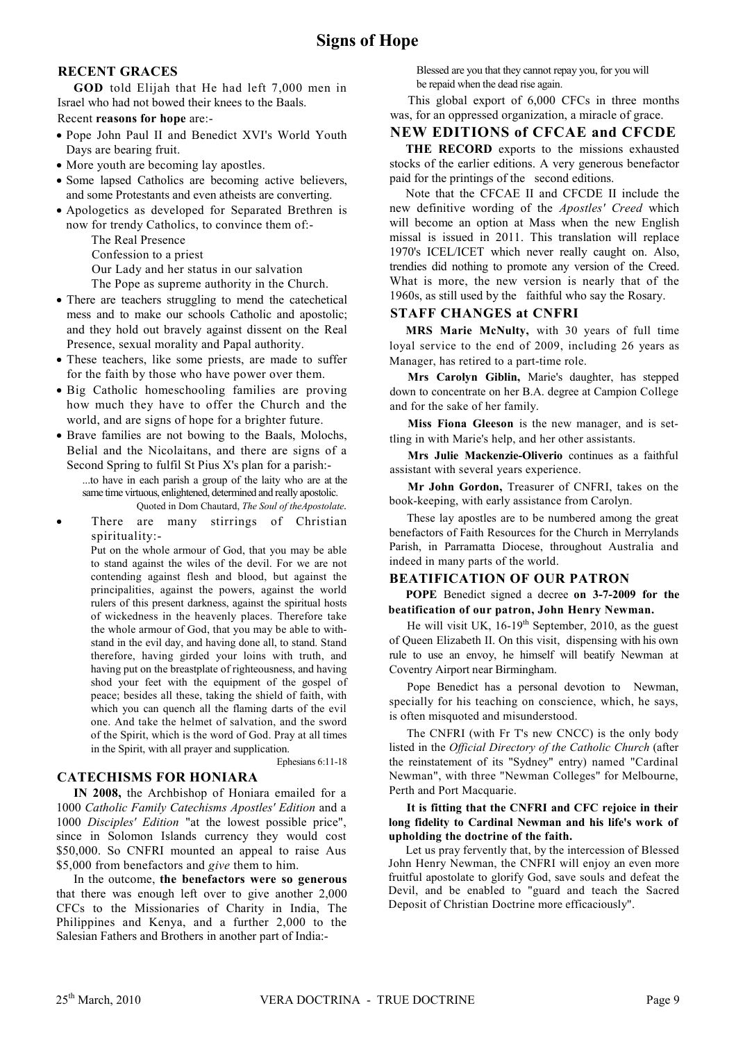# **RECENT GRACES**

GOD told Elijah that He had left 7,000 men in Israel who had not bowed their knees to the Baals. Recent reasons for hope are:-

- Pope John Paul II and Benedict XVI's World Youth Days are bearing fruit.
- More youth are becoming lay apostles.
- Some lapsed Catholics are becoming active believers, and some Protestants and even atheists are converting.
- Apologetics as developed for Separated Brethren is now for trendy Catholics, to convince them of:-
	- The Real Presence
	- Confession to a priest
	- Our Lady and her status in our salvation
	- The Pope as supreme authority in the Church.
- There are teachers struggling to mend the catechetical mess and to make our schools Catholic and apostolic; and they hold out bravely against dissent on the Real Presence, sexual morality and Papal authority.
- These teachers, like some priests, are made to suffer for the faith by those who have power over them.
- · Big Catholic homeschooling families are proving how much they have to offer the Church and the world, and are signs of hope for a brighter future.
- Brave families are not bowing to the Baals, Molochs, Belial and the Nicolaitans, and there are signs of a Second Spring to fulfil St Pius X's plan for a parish:-...to have in each parish a group of the laity who are at the same time virtuous, enlightened, determined and really apostolic.
	- Quoted in Dom Chautard, The Soul of the Apostolate.
- There are many stirrings of Christian spirituality:-

Put on the whole armour of God, that you may be able to stand against the wiles of the devil. For we are not contending against flesh and blood, but against the principalities, against the powers, against the world rulers of this present darkness, against the spiritual hosts of wickedness in the heavenly places. Therefore take the whole armour of God, that you may be able to withstand in the evil day, and having done all, to stand. Stand therefore, having girded your loins with truth, and having put on the breastplate of righteousness, and having shod your feet with the equipment of the gospel of peace; besides all these, taking the shield of faith, with which you can quench all the flaming darts of the evil one. And take the helmet of salvation, and the sword of the Spirit, which is the word of God. Pray at all times in the Spirit, with all prayer and supplication.

Ephesians 6:11-18

# **CATECHISMS FOR HONIARA**

IN 2008, the Archbishop of Honiara emailed for a 1000 Catholic Family Catechisms Apostles' Edition and a 1000 Disciples' Edition "at the lowest possible price", since in Solomon Islands currency they would cost \$50,000. So CNFRI mounted an appeal to raise Aus \$5,000 from benefactors and give them to him.

In the outcome, the benefactors were so generous that there was enough left over to give another 2,000 CFCs to the Missionaries of Charity in India, The Philippines and Kenya, and a further 2,000 to the Salesian Fathers and Brothers in another part of India:

Blessed are you that they cannot repay you, for you will be repaid when the dead rise again.

This global export of 6,000 CFCs in three months was, for an oppressed organization, a miracle of grace.

# **NEW EDITIONS of CFCAE and CFCDE**

THE RECORD exports to the missions exhausted stocks of the earlier editions. A very generous benefactor paid for the printings of the second editions.

Note that the CFCAE II and CFCDE II include the new definitive wording of the Apostles' Creed which will become an option at Mass when the new English missal is issued in 2011. This translation will replace 1970's ICEL/ICET which never really caught on. Also, trendies did nothing to promote any version of the Creed. What is more, the new version is nearly that of the 1960s, as still used by the faithful who say the Rosary.

## **STAFF CHANGES at CNFRI**

MRS Marie McNulty, with 30 years of full time loyal service to the end of 2009, including 26 years as Manager, has retired to a part-time role.

Mrs Carolyn Giblin, Marie's daughter, has stepped down to concentrate on her B.A. degree at Campion College and for the sake of her family.

Miss Fiona Gleeson is the new manager, and is settling in with Marie's help, and her other assistants.

Mrs Julie Mackenzie-Oliverio continues as a faithful assistant with several years experience.

Mr John Gordon, Treasurer of CNFRI, takes on the book-keeping, with early assistance from Carolyn.

These lay apostles are to be numbered among the great benefactors of Faith Resources for the Church in Merrylands Parish, in Parramatta Diocese, throughout Australia and indeed in many parts of the world.

# **BEATIFICATION OF OUR PATRON**

POPE Benedict signed a decree on 3-7-2009 for the beatification of our patron, John Henry Newman.

He will visit UK, 16-19<sup>th</sup> September, 2010, as the guest of Queen Elizabeth II. On this visit, dispensing with his own rule to use an envoy, he himself will beatify Newman at Coventry Airport near Birmingham.

Pope Benedict has a personal devotion to Newman, specially for his teaching on conscience, which, he says, is often misquoted and misunderstood.

The CNFRI (with Fr T's new CNCC) is the only body listed in the Official Directory of the Catholic Church (after the reinstatement of its "Sydney" entry) named "Cardinal Newman", with three "Newman Colleges" for Melbourne, Perth and Port Macquarie.

#### It is fitting that the CNFRI and CFC rejoice in their long fidelity to Cardinal Newman and his life's work of upholding the doctrine of the faith.

Let us pray fervently that, by the intercession of Blessed John Henry Newman, the CNFRI will enjoy an even more fruitful apostolate to glorify God, save souls and defeat the Devil, and be enabled to "guard and teach the Sacred Deposit of Christian Doctrine more efficaciously".